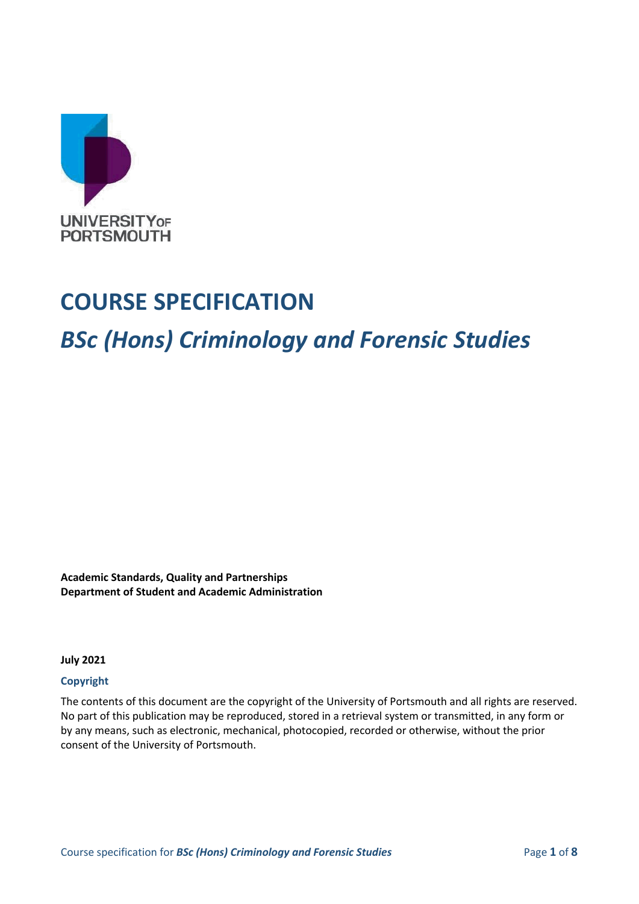

# **COURSE SPECIFICATION**

# *BSc (Hons) Criminology and Forensic Studies*

**Academic Standards, Quality and Partnerships Department of Student and Academic Administration**

**July 2021**

#### **Copyright**

The contents of this document are the copyright of the University of Portsmouth and all rights are reserved. No part of this publication may be reproduced, stored in a retrieval system or transmitted, in any form or by any means, such as electronic, mechanical, photocopied, recorded or otherwise, without the prior consent of the University of Portsmouth.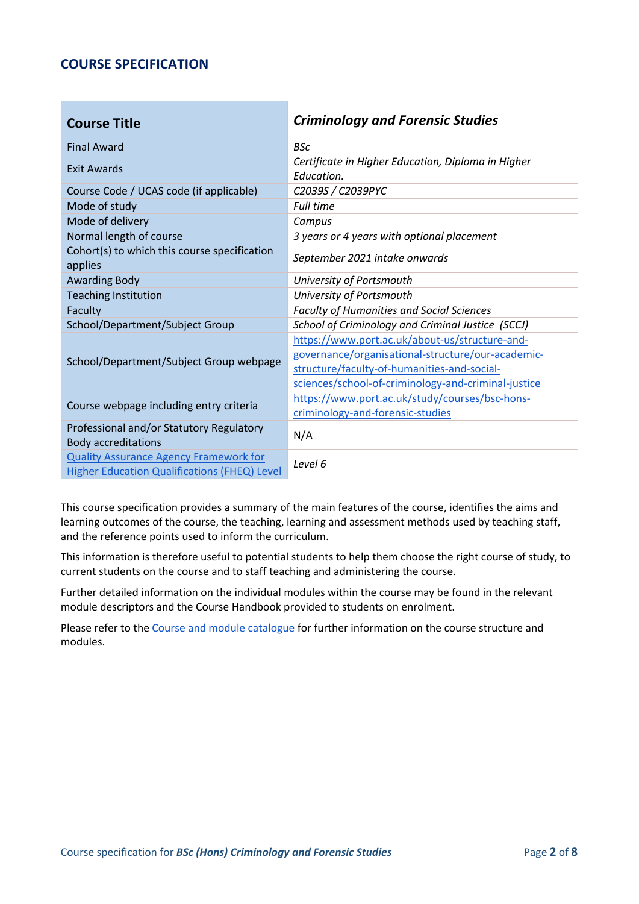#### **COURSE SPECIFICATION**

| <b>Course Title</b>                                                                                  | <b>Criminology and Forensic Studies</b>                                                                                                                                                                   |  |
|------------------------------------------------------------------------------------------------------|-----------------------------------------------------------------------------------------------------------------------------------------------------------------------------------------------------------|--|
| <b>Final Award</b>                                                                                   | <b>BSc</b>                                                                                                                                                                                                |  |
| Exit Awards                                                                                          | Certificate in Higher Education, Diploma in Higher<br>Education.                                                                                                                                          |  |
| Course Code / UCAS code (if applicable)                                                              | C2039S / C2039PYC                                                                                                                                                                                         |  |
| Mode of study                                                                                        | Full time                                                                                                                                                                                                 |  |
| Mode of delivery                                                                                     | Campus                                                                                                                                                                                                    |  |
| Normal length of course                                                                              | 3 years or 4 years with optional placement                                                                                                                                                                |  |
| Cohort(s) to which this course specification<br>applies                                              | September 2021 intake onwards                                                                                                                                                                             |  |
| <b>Awarding Body</b>                                                                                 | University of Portsmouth                                                                                                                                                                                  |  |
| <b>Teaching Institution</b>                                                                          | University of Portsmouth                                                                                                                                                                                  |  |
| Faculty                                                                                              | <b>Faculty of Humanities and Social Sciences</b>                                                                                                                                                          |  |
| School/Department/Subject Group                                                                      | School of Criminology and Criminal Justice (SCCJ)                                                                                                                                                         |  |
| School/Department/Subject Group webpage                                                              | https://www.port.ac.uk/about-us/structure-and-<br>governance/organisational-structure/our-academic-<br>structure/faculty-of-humanities-and-social-<br>sciences/school-of-criminology-and-criminal-justice |  |
| Course webpage including entry criteria                                                              | https://www.port.ac.uk/study/courses/bsc-hons-<br>criminology-and-forensic-studies                                                                                                                        |  |
| Professional and/or Statutory Regulatory<br><b>Body accreditations</b>                               | N/A                                                                                                                                                                                                       |  |
| <b>Quality Assurance Agency Framework for</b><br><b>Higher Education Qualifications (FHEQ) Level</b> | Level 6                                                                                                                                                                                                   |  |

This course specification provides a summary of the main features of the course, identifies the aims and learning outcomes of the course, the teaching, learning and assessment methods used by teaching staff, and the reference points used to inform the curriculum.

This information is therefore useful to potential students to help them choose the right course of study, to current students on the course and to staff teaching and administering the course.

Further detailed information on the individual modules within the course may be found in the relevant module descriptors and the Course Handbook provided to students on enrolment.

Please refer to the [Course and](https://course-module-catalog.port.ac.uk/#/welcome) [module catalogue](https://course-module-catalog.port.ac.uk/#/welcome) for further information on the course structure and modules.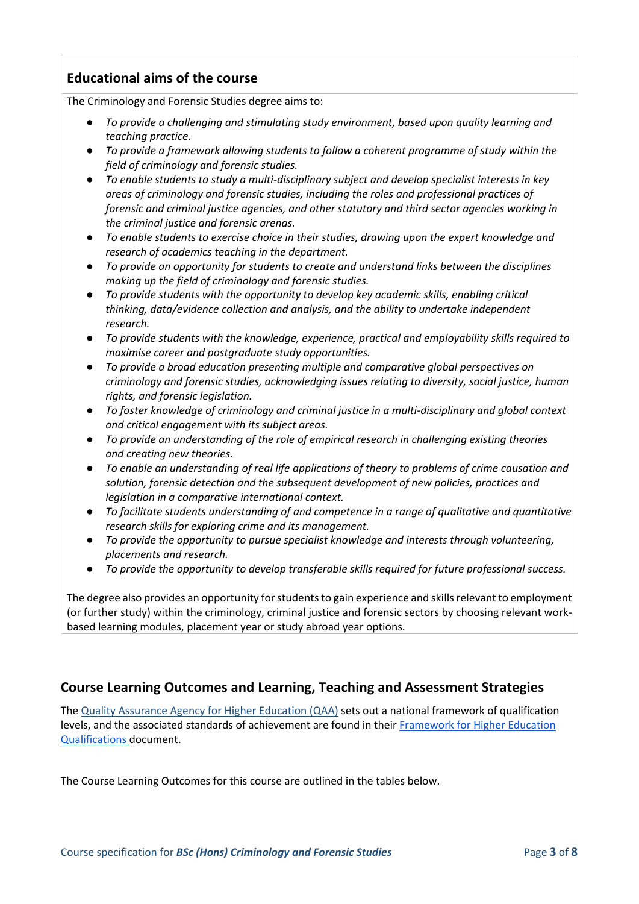# **Educational aims of the course**

The Criminology and Forensic Studies degree aims to:

- *To provide a challenging and stimulating study environment, based upon quality learning and teaching practice.*
- *To provide a framework allowing students to follow a coherent programme of study within the field of criminology and forensic studies.*
- *To enable students to study a multi-disciplinary subject and develop specialist interests in key areas of criminology and forensic studies, including the roles and professional practices of forensic and criminal justice agencies, and other statutory and third sector agencies working in the criminal justice and forensic arenas.*
- *To enable students to exercise choice in their studies, drawing upon the expert knowledge and research of academics teaching in the department.*
- *To provide an opportunity for students to create and understand links between the disciplines making up the field of criminology and forensic studies.*
- *To provide students with the opportunity to develop key academic skills, enabling critical thinking, data/evidence collection and analysis, and the ability to undertake independent research.*
- *To provide students with the knowledge, experience, practical and employability skills required to maximise career and postgraduate study opportunities.*
- *To provide a broad education presenting multiple and comparative global perspectives on criminology and forensic studies, acknowledging issues relating to diversity, social justice, human rights, and forensic legislation.*
- *To foster knowledge of criminology and criminal justice in a multi-disciplinary and global context and critical engagement with its subject areas.*
- *To provide an understanding of the role of empirical research in challenging existing theories and creating new theories.*
- *To enable an understanding of real life applications of theory to problems of crime causation and solution, forensic detection and the subsequent development of new policies, practices and legislation in a comparative international context.*
- *To facilitate students understanding of and competence in a range of qualitative and quantitative research skills for exploring crime and its management.*
- *To provide the opportunity to pursue specialist knowledge and interests through volunteering, placements and research.*
- *To provide the opportunity to develop transferable skills required for future professional success.*

The degree also provides an opportunity for students to gain experience and skills relevant to employment (or further study) within the criminology, criminal justice and forensic sectors by choosing relevant workbased learning modules, placement year or study abroad year options.

# **Course Learning Outcomes and Learning, Teaching and Assessment Strategies**

The [Quality Assurance Agency for Higher Education \(QAA\)](http://www.qaa.ac.uk/en) sets out a national framework of qualification levels, and the associated standards of achievement are found in their [Framework for Higher Education](https://www.qaa.ac.uk/docs/qaa/quality-code/qualifications-frameworks.pdf)  [Qualifications](https://www.qaa.ac.uk/docs/qaa/quality-code/qualifications-frameworks.pdf) document.

The Course Learning Outcomes for this course are outlined in the tables below.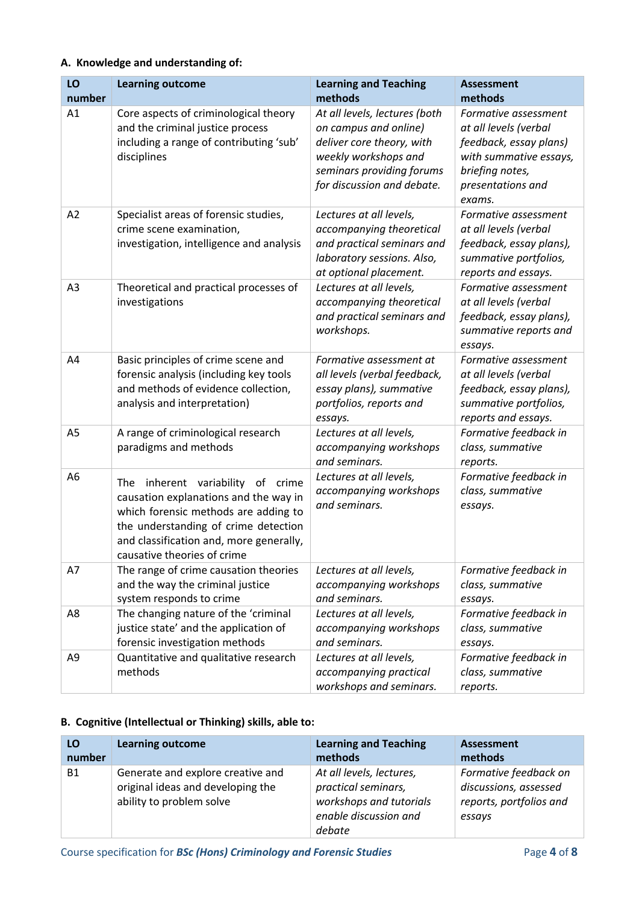#### **A. Knowledge and understanding of:**

| LO<br>number   | <b>Learning outcome</b>                                                                                                                                                                                                                        | <b>Learning and Teaching</b><br>methods                                                                                                                                | <b>Assessment</b><br>methods                                                                                                                        |
|----------------|------------------------------------------------------------------------------------------------------------------------------------------------------------------------------------------------------------------------------------------------|------------------------------------------------------------------------------------------------------------------------------------------------------------------------|-----------------------------------------------------------------------------------------------------------------------------------------------------|
| A1             | Core aspects of criminological theory<br>and the criminal justice process<br>including a range of contributing 'sub'<br>disciplines                                                                                                            | At all levels, lectures (both<br>on campus and online)<br>deliver core theory, with<br>weekly workshops and<br>seminars providing forums<br>for discussion and debate. | Formative assessment<br>at all levels (verbal<br>feedback, essay plans)<br>with summative essays,<br>briefing notes,<br>presentations and<br>exams. |
| A2             | Specialist areas of forensic studies,<br>crime scene examination,<br>investigation, intelligence and analysis                                                                                                                                  | Lectures at all levels,<br>accompanying theoretical<br>and practical seminars and<br>laboratory sessions. Also,<br>at optional placement.                              | Formative assessment<br>at all levels (verbal<br>feedback, essay plans),<br>summative portfolios,<br>reports and essays.                            |
| A3             | Theoretical and practical processes of<br>investigations                                                                                                                                                                                       | Lectures at all levels,<br>accompanying theoretical<br>and practical seminars and<br>workshops.                                                                        | Formative assessment<br>at all levels (verbal<br>feedback, essay plans),<br>summative reports and<br>essays.                                        |
| A4             | Basic principles of crime scene and<br>forensic analysis (including key tools<br>and methods of evidence collection,<br>analysis and interpretation)                                                                                           | Formative assessment at<br>all levels (verbal feedback,<br>essay plans), summative<br>portfolios, reports and<br>essays.                                               | Formative assessment<br>at all levels (verbal<br>feedback, essay plans),<br>summative portfolios,<br>reports and essays.                            |
| A <sub>5</sub> | A range of criminological research<br>paradigms and methods                                                                                                                                                                                    | Lectures at all levels,<br>accompanying workshops<br>and seminars.                                                                                                     | Formative feedback in<br>class, summative<br>reports.                                                                                               |
| A <sub>6</sub> | inherent variability of crime<br><b>The</b><br>causation explanations and the way in<br>which forensic methods are adding to<br>the understanding of crime detection<br>and classification and, more generally,<br>causative theories of crime | Lectures at all levels,<br>accompanying workshops<br>and seminars.                                                                                                     | Formative feedback in<br>class, summative<br>essays.                                                                                                |
| A7             | The range of crime causation theories<br>and the way the criminal justice<br>system responds to crime                                                                                                                                          | Lectures at all levels,<br>accompanying workshops<br>and seminars.                                                                                                     | Formative feedback in<br>class, summative<br>essays.                                                                                                |
| A8             | The changing nature of the 'criminal<br>justice state' and the application of<br>forensic investigation methods                                                                                                                                | Lectures at all levels,<br>accompanying workshops<br>and seminars.                                                                                                     | Formative feedback in<br>class, summative<br>essays.                                                                                                |
| A9             | Quantitative and qualitative research<br>methods                                                                                                                                                                                               | Lectures at all levels,<br>accompanying practical<br>workshops and seminars.                                                                                           | Formative feedback in<br>class, summative<br>reports.                                                                                               |

#### **B. Cognitive (Intellectual or Thinking) skills, able to:**

| LO        | <b>Learning outcome</b>                                                                            | <b>Learning and Teaching</b>                                                                                  | Assessment                                                                          |
|-----------|----------------------------------------------------------------------------------------------------|---------------------------------------------------------------------------------------------------------------|-------------------------------------------------------------------------------------|
| number    |                                                                                                    | methods                                                                                                       | methods                                                                             |
| <b>B1</b> | Generate and explore creative and<br>original ideas and developing the<br>ability to problem solve | At all levels, lectures,<br>practical seminars,<br>workshops and tutorials<br>enable discussion and<br>debate | Formative feedback on<br>discussions, assessed<br>reports, portfolios and<br>essays |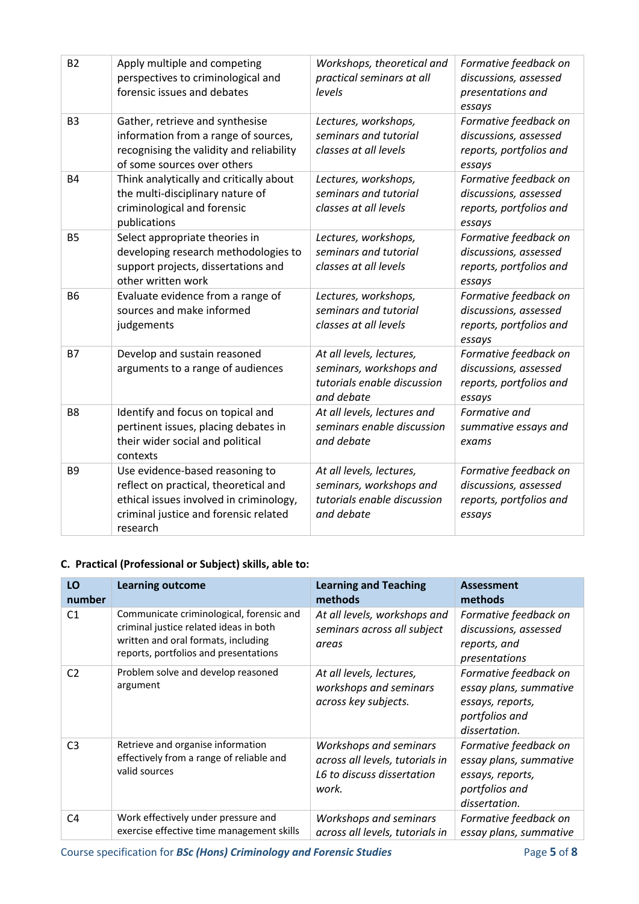| Apply multiple and competing<br>perspectives to criminological and<br>forensic issues and debates                                                                        | Workshops, theoretical and<br>practical seminars at all<br>levels                                | Formative feedback on<br>discussions, assessed<br>presentations and<br>essays       |
|--------------------------------------------------------------------------------------------------------------------------------------------------------------------------|--------------------------------------------------------------------------------------------------|-------------------------------------------------------------------------------------|
| Gather, retrieve and synthesise<br>information from a range of sources,<br>recognising the validity and reliability<br>of some sources over others                       | Lectures, workshops,<br>seminars and tutorial<br>classes at all levels                           | Formative feedback on<br>discussions, assessed<br>reports, portfolios and<br>essays |
| Think analytically and critically about<br>the multi-disciplinary nature of<br>criminological and forensic<br>publications                                               | Lectures, workshops,<br>seminars and tutorial<br>classes at all levels                           | Formative feedback on<br>discussions, assessed<br>reports, portfolios and<br>essays |
| Select appropriate theories in<br>developing research methodologies to<br>support projects, dissertations and<br>other written work                                      | Lectures, workshops,<br>seminars and tutorial<br>classes at all levels                           | Formative feedback on<br>discussions, assessed<br>reports, portfolios and<br>essays |
| Evaluate evidence from a range of<br>sources and make informed<br>judgements                                                                                             | Lectures, workshops,<br>seminars and tutorial<br>classes at all levels                           | Formative feedback on<br>discussions, assessed<br>reports, portfolios and<br>essays |
| Develop and sustain reasoned<br>arguments to a range of audiences                                                                                                        | At all levels, lectures,<br>seminars, workshops and<br>tutorials enable discussion<br>and debate | Formative feedback on<br>discussions, assessed<br>reports, portfolios and<br>essays |
| Identify and focus on topical and<br>pertinent issues, placing debates in<br>their wider social and political<br>contexts                                                | At all levels, lectures and<br>seminars enable discussion<br>and debate                          | Formative and<br>summative essays and<br>exams                                      |
| Use evidence-based reasoning to<br>reflect on practical, theoretical and<br>ethical issues involved in criminology,<br>criminal justice and forensic related<br>research | At all levels, lectures,<br>seminars, workshops and<br>tutorials enable discussion<br>and debate | Formative feedback on<br>discussions, assessed<br>reports, portfolios and<br>essays |
|                                                                                                                                                                          |                                                                                                  |                                                                                     |

#### **C. Practical (Professional or Subject) skills, able to:**

| LO<br>number   | <b>Learning outcome</b>                                                                                                                                            | <b>Learning and Teaching</b><br>methods                                                          | Assessment<br>methods                                                                                  |
|----------------|--------------------------------------------------------------------------------------------------------------------------------------------------------------------|--------------------------------------------------------------------------------------------------|--------------------------------------------------------------------------------------------------------|
| C <sub>1</sub> | Communicate criminological, forensic and<br>criminal justice related ideas in both<br>written and oral formats, including<br>reports, portfolios and presentations | At all levels, workshops and<br>seminars across all subject<br>areas                             | Formative feedback on<br>discussions, assessed<br>reports, and<br>presentations                        |
| C <sub>2</sub> | Problem solve and develop reasoned<br>argument                                                                                                                     | At all levels, lectures,<br>workshops and seminars<br>across key subjects.                       | Formative feedback on<br>essay plans, summative<br>essays, reports,<br>portfolios and<br>dissertation. |
| C <sub>3</sub> | Retrieve and organise information<br>effectively from a range of reliable and<br>valid sources                                                                     | Workshops and seminars<br>across all levels, tutorials in<br>L6 to discuss dissertation<br>work. | Formative feedback on<br>essay plans, summative<br>essays, reports,<br>portfolios and<br>dissertation. |
| C <sub>4</sub> | Work effectively under pressure and<br>exercise effective time management skills                                                                                   | Workshops and seminars<br>across all levels, tutorials in                                        | Formative feedback on<br>essay plans, summative                                                        |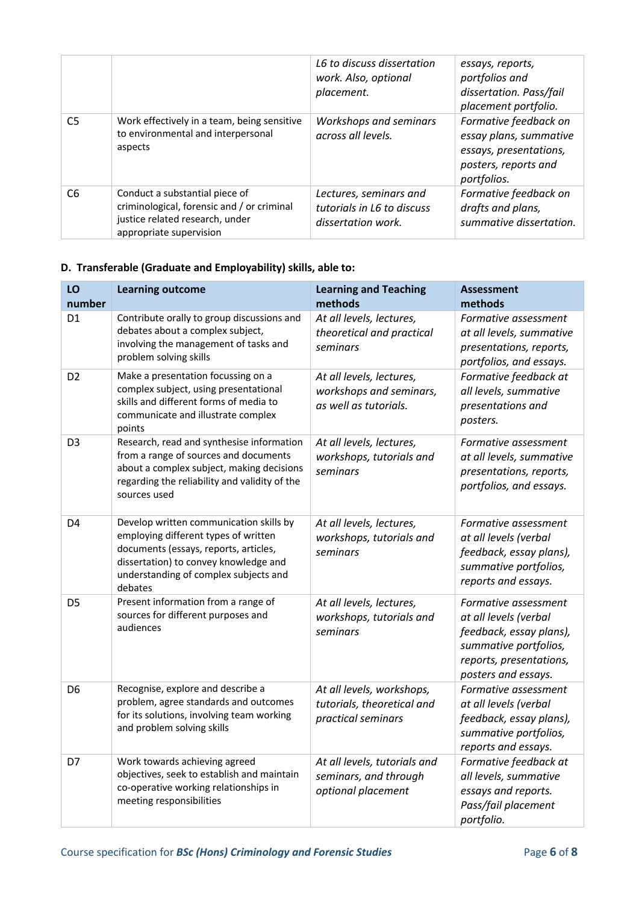|                |                                                                                                                                            | L6 to discuss dissertation<br>work. Also, optional<br>placement.           | essays, reports,<br>portfolios and<br>dissertation. Pass/fail<br>placement portfolio.                            |
|----------------|--------------------------------------------------------------------------------------------------------------------------------------------|----------------------------------------------------------------------------|------------------------------------------------------------------------------------------------------------------|
| C <sub>5</sub> | Work effectively in a team, being sensitive<br>to environmental and interpersonal<br>aspects                                               | Workshops and seminars<br>across all levels.                               | Formative feedback on<br>essay plans, summative<br>essays, presentations,<br>posters, reports and<br>portfolios. |
| C <sub>6</sub> | Conduct a substantial piece of<br>criminological, forensic and / or criminal<br>justice related research, under<br>appropriate supervision | Lectures, seminars and<br>tutorials in L6 to discuss<br>dissertation work. | Formative feedback on<br>drafts and plans,<br>summative dissertation.                                            |

#### **D. Transferable (Graduate and Employability) skills, able to:**

| LO<br>number   | <b>Learning outcome</b>                                                                                                                                                                                               | <b>Learning and Teaching</b><br>methods                                       | <b>Assessment</b><br>methods                                                                                                                        |
|----------------|-----------------------------------------------------------------------------------------------------------------------------------------------------------------------------------------------------------------------|-------------------------------------------------------------------------------|-----------------------------------------------------------------------------------------------------------------------------------------------------|
| D <sub>1</sub> | Contribute orally to group discussions and<br>debates about a complex subject,<br>involving the management of tasks and<br>problem solving skills                                                                     | At all levels, lectures,<br>theoretical and practical<br>seminars             | Formative assessment<br>at all levels, summative<br>presentations, reports,<br>portfolios, and essays.                                              |
| D <sub>2</sub> | Make a presentation focussing on a<br>complex subject, using presentational<br>skills and different forms of media to<br>communicate and illustrate complex<br>points                                                 | At all levels, lectures,<br>workshops and seminars,<br>as well as tutorials.  | Formative feedback at<br>all levels, summative<br>presentations and<br>posters.                                                                     |
| D <sub>3</sub> | Research, read and synthesise information<br>from a range of sources and documents<br>about a complex subject, making decisions<br>regarding the reliability and validity of the<br>sources used                      | At all levels, lectures,<br>workshops, tutorials and<br>seminars              | Formative assessment<br>at all levels, summative<br>presentations, reports,<br>portfolios, and essays.                                              |
| D4             | Develop written communication skills by<br>employing different types of written<br>documents (essays, reports, articles,<br>dissertation) to convey knowledge and<br>understanding of complex subjects and<br>debates | At all levels, lectures,<br>workshops, tutorials and<br>seminars              | Formative assessment<br>at all levels (verbal<br>feedback, essay plans),<br>summative portfolios,<br>reports and essays.                            |
| D <sub>5</sub> | Present information from a range of<br>sources for different purposes and<br>audiences                                                                                                                                | At all levels, lectures,<br>workshops, tutorials and<br>seminars              | Formative assessment<br>at all levels (verbal<br>feedback, essay plans),<br>summative portfolios,<br>reports, presentations,<br>posters and essays. |
| D <sub>6</sub> | Recognise, explore and describe a<br>problem, agree standards and outcomes<br>for its solutions, involving team working<br>and problem solving skills                                                                 | At all levels, workshops,<br>tutorials, theoretical and<br>practical seminars | Formative assessment<br>at all levels (verbal<br>feedback, essay plans),<br>summative portfolios,<br>reports and essays.                            |
| D7             | Work towards achieving agreed<br>objectives, seek to establish and maintain<br>co-operative working relationships in<br>meeting responsibilities                                                                      | At all levels, tutorials and<br>seminars, and through<br>optional placement   | Formative feedback at<br>all levels, summative<br>essays and reports.<br>Pass/fail placement<br>portfolio.                                          |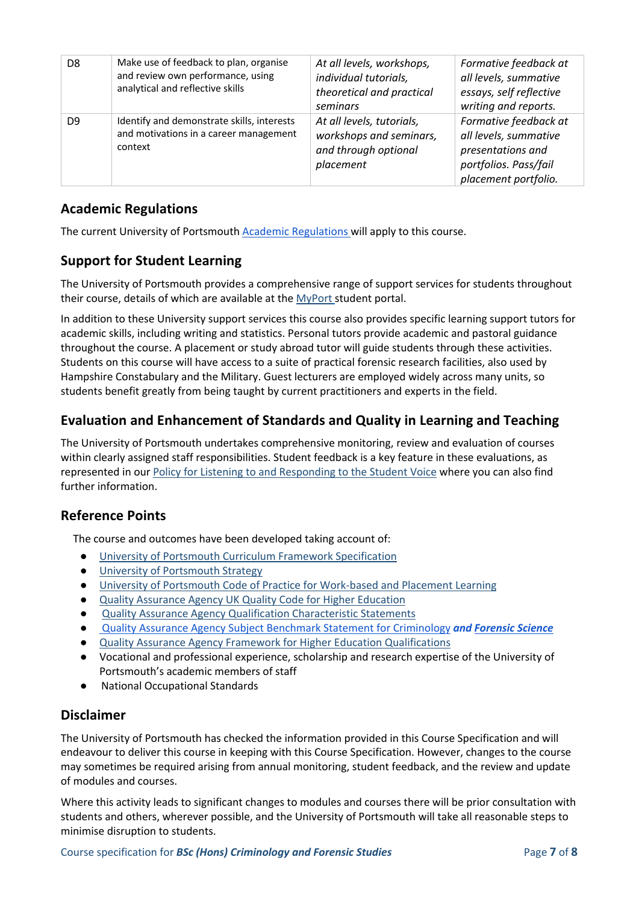| D <sub>8</sub> | Make use of feedback to plan, organise<br>and review own performance, using<br>analytical and reflective skills | At all levels, workshops,<br>individual tutorials,<br>theoretical and practical<br>seminars | Formative feedback at<br>all levels, summative<br>essays, self reflective<br>writing and reports.                    |
|----------------|-----------------------------------------------------------------------------------------------------------------|---------------------------------------------------------------------------------------------|----------------------------------------------------------------------------------------------------------------------|
| D <sub>9</sub> | Identify and demonstrate skills, interests<br>and motivations in a career management<br>context                 | At all levels, tutorials,<br>workshops and seminars,<br>and through optional<br>placement   | Formative feedback at<br>all levels, summative<br>presentations and<br>portfolios. Pass/fail<br>placement portfolio. |

### **Academic Regulations**

The current University of Portsmouth [Academic Regulations](https://staff.port.ac.uk/departments/services/academicregistry/qmd/assessmentandregulations/) will apply to this course.

# **Support for Student Learning**

The University of Portsmouth provides a comprehensive range of support services for students throughout their course, details of which are available at the [MyPort](http://myport.ac.uk/) student portal.

In addition to these University support services this course also provides specific learning support tutors for academic skills, including writing and statistics. Personal tutors provide academic and pastoral guidance throughout the course. A placement or study abroad tutor will guide students through these activities. Students on this course will have access to a suite of practical forensic research facilities, also used by Hampshire Constabulary and the Military. Guest lecturers are employed widely across many units, so students benefit greatly from being taught by current practitioners and experts in the field.

# **Evaluation and Enhancement of Standards and Quality in Learning and Teaching**

The University of Portsmouth undertakes comprehensive monitoring, review and evaluation of courses within clearly assigned staff responsibilities. Student feedback is a key feature in these evaluations, as represented in our [Policy for Listening to and Responding to the Student Voice](http://policies.docstore.port.ac.uk/policy-069.pdf) where you can also find further information.

#### **Reference Points**

The course and outcomes have been developed taking account of:

- [University of Portsmouth Curriculum Framework Specification](http://policies.docstore.port.ac.uk/policy-217.pdf?_ga=2.262170252.1863271531.1625471462-353504235.1613498042)
- [University of Portsmouth Strategy](https://www.port.ac.uk/about-us/our-ambition/our-strategy)
- [University of Portsmouth Code of Practice for Work-based and Placement Learning](http://policies.docstore.port.ac.uk/policy-151.pdf)
- [Quality Assurance Agency UK Quality Code for Higher Education](https://www.qaa.ac.uk/quality-code)
- [Quality Assurance Agency Qualification Characteristic Statements](https://www.qaa.ac.uk/quality-code/characteristics-statements)
- [Quality Assurance Agency Subject Benchmark Statement for Criminology](https://www.qaa.ac.uk/docs/qaa/subject-benchmark-statements/subject-benchmark-statement-criminology.pdf?sfvrsn=8f2c881_4) *and [Forensic Science](https://www.qaa.ac.uk/docs/qaa/subject-benchmark-statements/subject-benchmark-statement-forensic-science.pdf?sfvrsn=659ef781_10)*
- [Quality Assurance Agency Framework for Higher Education Qualifications](https://www.qaa.ac.uk/quality-code/qualifications-frameworks)
- Vocational and professional experience, scholarship and research expertise of the University of Portsmouth's academic members of staff
- National Occupational Standards

#### **Disclaimer**

The University of Portsmouth has checked the information provided in this Course Specification and will endeavour to deliver this course in keeping with this Course Specification. However, changes to the course may sometimes be required arising from annual monitoring, student feedback, and the review and update of modules and courses.

Where this activity leads to significant changes to modules and courses there will be prior consultation with students and others, wherever possible, and the University of Portsmouth will take all reasonable steps to minimise disruption to students.